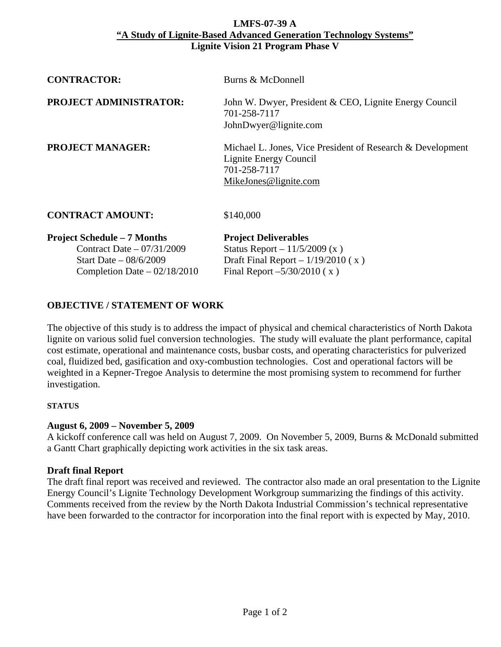#### **LMFS-07-39 A "A Study of Lignite-Based Advanced Generation Technology Systems" Lignite Vision 21 Program Phase V**

| <b>CONTRACTOR:</b>                                                                           | Burns & McDonnell                                                                                                             |
|----------------------------------------------------------------------------------------------|-------------------------------------------------------------------------------------------------------------------------------|
| <b>PROJECT ADMINISTRATOR:</b>                                                                | John W. Dwyer, President & CEO, Lignite Energy Council<br>701-258-7117<br>JohnDwyer@lignite.com                               |
| <b>PROJECT MANAGER:</b>                                                                      | Michael L. Jones, Vice President of Research & Development<br>Lignite Energy Council<br>701-258-7117<br>MikeJones@lignite.com |
| <b>CONTRACT AMOUNT:</b>                                                                      | \$140,000                                                                                                                     |
| <b>Project Schedule – 7 Months</b><br>Contract Date $-07/31/2009$<br>Start Date $-08/6/2009$ | <b>Project Deliverables</b><br>Status Report – $11/5/2009(x)$<br>Draft Final Report $-1/19/2010$ (x)                          |

# **OBJECTIVE / STATEMENT OF WORK**

The objective of this study is to address the impact of physical and chemical characteristics of North Dakota lignite on various solid fuel conversion technologies. The study will evaluate the plant performance, capital cost estimate, operational and maintenance costs, busbar costs, and operating characteristics for pulverized coal, fluidized bed, gasification and oxy-combustion technologies. Cost and operational factors will be weighted in a Kepner-Tregoe Analysis to determine the most promising system to recommend for further investigation.

Completion Date –  $02/18/2010$  Final Report –5/30/2010 (x)

### **STATUS**

# **August 6, 2009 – November 5, 2009**

A kickoff conference call was held on August 7, 2009. On November 5, 2009, Burns & McDonald submitted a Gantt Chart graphically depicting work activities in the six task areas.

# **Draft final Report**

The draft final report was received and reviewed. The contractor also made an oral presentation to the Lignite Energy Council's Lignite Technology Development Workgroup summarizing the findings of this activity. Comments received from the review by the North Dakota Industrial Commission's technical representative have been forwarded to the contractor for incorporation into the final report with is expected by May, 2010.